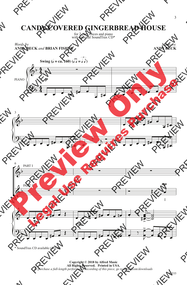## **CANDY-COVERED GINGERBREAD HOUSE**

for 2-part voices and piano with optional SoundTrax CD\*

*Words by* **ANDY BECK** *and* **BRIAN FISHER**

*Music by* **ANDY BECK**



\* SoundTrax CD available (46536).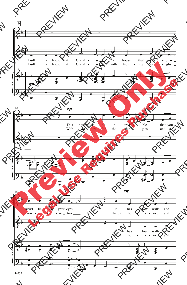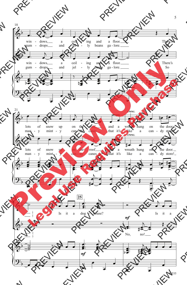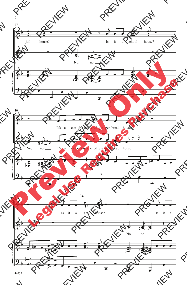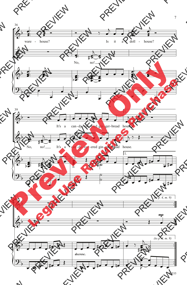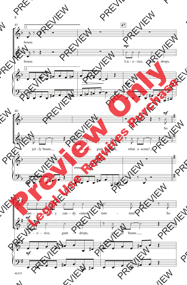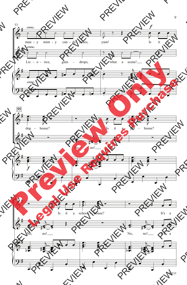

<sup>9</sup>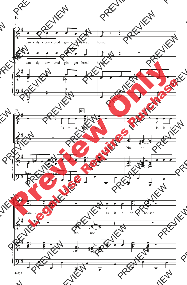